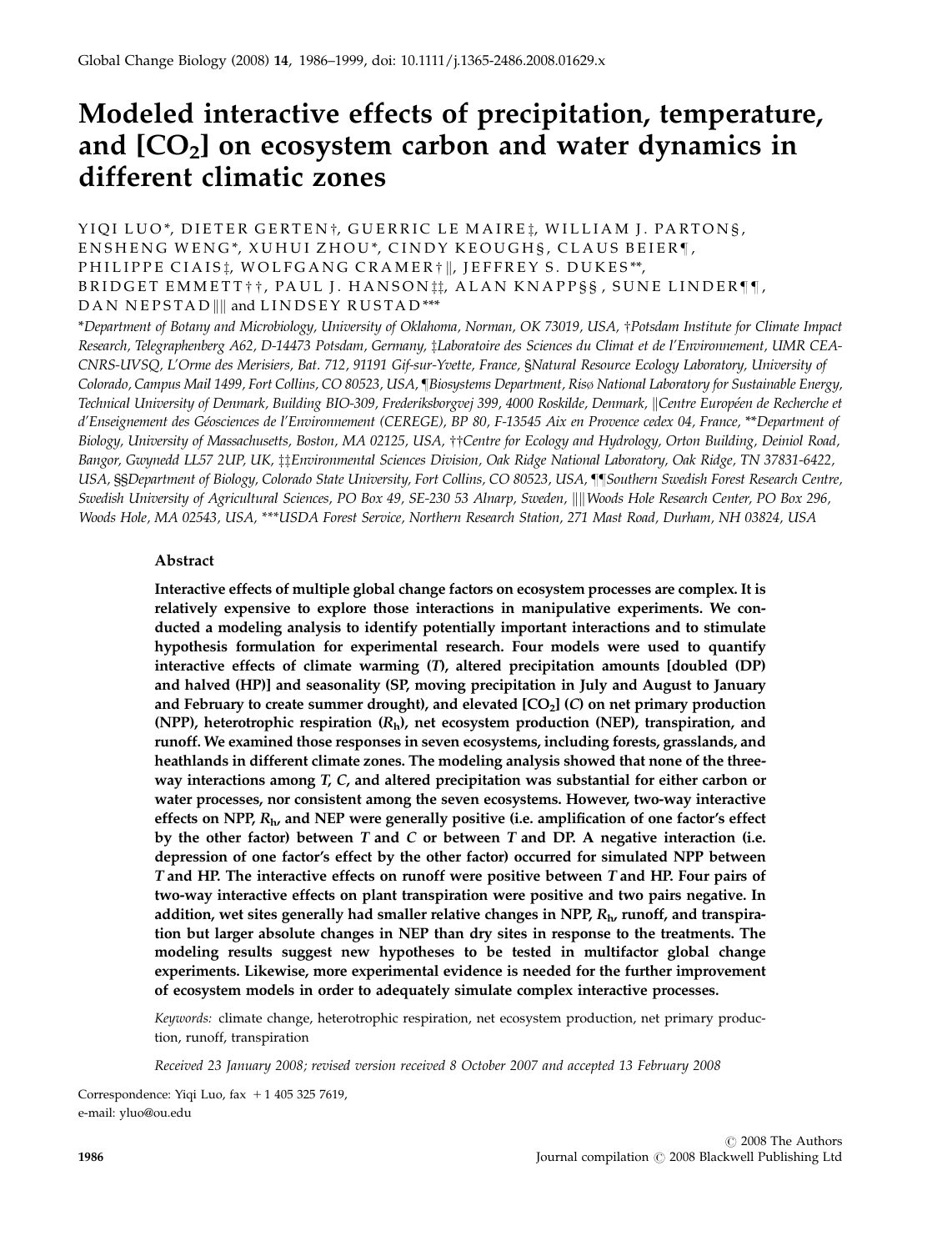# Modeled interactive effects of precipitation, temperature, and  $[CO<sub>2</sub>]$  on ecosystem carbon and water dynamics in different climatic zones

# YIOI LUO\*, DIETER GERTEN†, GUERRIC LE MAIRE†, WILLIAM J. PARTONS, ENSHENG WENG\*, XUHUI ZHOU\*, CINDY KEOUGHS, CLAUS BEIER¶, PHILIPPE CIAIS<sup>\*</sup>, WOLFGANG CRAMER<sup>\*</sup> ||, JEFFREY S. DUKES\*\*, BRIDGET EMMETT††, PAUL J. HANSON tt, ALAN KNAPP§§, SUNE LINDER¶¶, DAN NEPSTAD || and LINDSEY RUSTAD \*\*\*

\*Department of Botany and Microbiology, University of Oklahoma, Norman, OK 73019, USA, †Potsdam Institute for Climate Impact Research, Telegraphenberg A62, D-14473 Potsdam, Germany, zLaboratoire des Sciences du Climat et de l'Environnement, UMR CEA-CNRS-UVSQ, L'Orme des Merisiers, Bat. 712, 91191 Gif-sur-Yvette, France, §Natural Resource Ecology Laboratory, University of Colorado, Campus Mail 1499, Fort Collins, CO 80523, USA, [Biosystems Department, Risø National Laboratory for Sustainable Energy, Technical University of Denmark, Building BIO-309, Frederiksborgvej 399, 4000 Roskilde, Denmark, ||Centre Européen de Recherche et d'Enseignement des Géosciences de l'Environnement (CEREGE), BP 80, F-13545 Aix en Provence cedex 04, France, \*\*Department of Biology, University of Massachusetts, Boston, MA 02125, USA, ††Centre for Ecology and Hydrology, Orton Building, Deiniol Road, Bangor, Gwynedd LL57 2UP, UK, ‡‡Environmental Sciences Division, Oak Ridge National Laboratory, Oak Ridge, TN 37831-6422, USA, §§Department of Biology, Colorado State University, Fort Collins, CO 80523, USA, }}Southern Swedish Forest Research Centre, Swedish University of Agricultural Sciences, PO Box 49, SE-230 53 Alnarp, Sweden, ||||Woods Hole Research Center, PO Box 296, Woods Hole, MA 02543, USA, \*\*\*USDA Forest Service, Northern Research Station, 271 Mast Road, Durham, NH 03824, USA

# Abstract

Interactive effects of multiple global change factors on ecosystem processes are complex. It is relatively expensive to explore those interactions in manipulative experiments. We conducted a modeling analysis to identify potentially important interactions and to stimulate hypothesis formulation for experimental research. Four models were used to quantify interactive effects of climate warming (T), altered precipitation amounts [doubled (DP) and halved (HP)] and seasonality (SP, moving precipitation in July and August to January and February to create summer drought), and elevated  $[CO<sub>2</sub>]$  (C) on net primary production (NPP), heterotrophic respiration  $(R_h)$ , net ecosystem production (NEP), transpiration, and runoff. We examined those responses in seven ecosystems, including forests, grasslands, and heathlands in different climate zones. The modeling analysis showed that none of the threeway interactions among T, C, and altered precipitation was substantial for either carbon or water processes, nor consistent among the seven ecosystems. However, two-way interactive effects on NPP,  $R_h$ , and NEP were generally positive (i.e. amplification of one factor's effect by the other factor) between  $T$  and  $C$  or between  $T$  and  $DP$ . A negative interaction (i.e. depression of one factor's effect by the other factor) occurred for simulated NPP between T and HP. The interactive effects on runoff were positive between T and HP. Four pairs of two-way interactive effects on plant transpiration were positive and two pairs negative. In addition, wet sites generally had smaller relative changes in NPP,  $R<sub>h</sub>$ , runoff, and transpiration but larger absolute changes in NEP than dry sites in response to the treatments. The modeling results suggest new hypotheses to be tested in multifactor global change experiments. Likewise, more experimental evidence is needed for the further improvement of ecosystem models in order to adequately simulate complex interactive processes.

Keywords: climate change, heterotrophic respiration, net ecosystem production, net primary production, runoff, transpiration

Received 23 January 2008; revised version received 8 October 2007 and accepted 13 February 2008

Correspondence: Yiqi Luo, fax  $+1$  405 325 7619, e-mail: yluo@ou.edu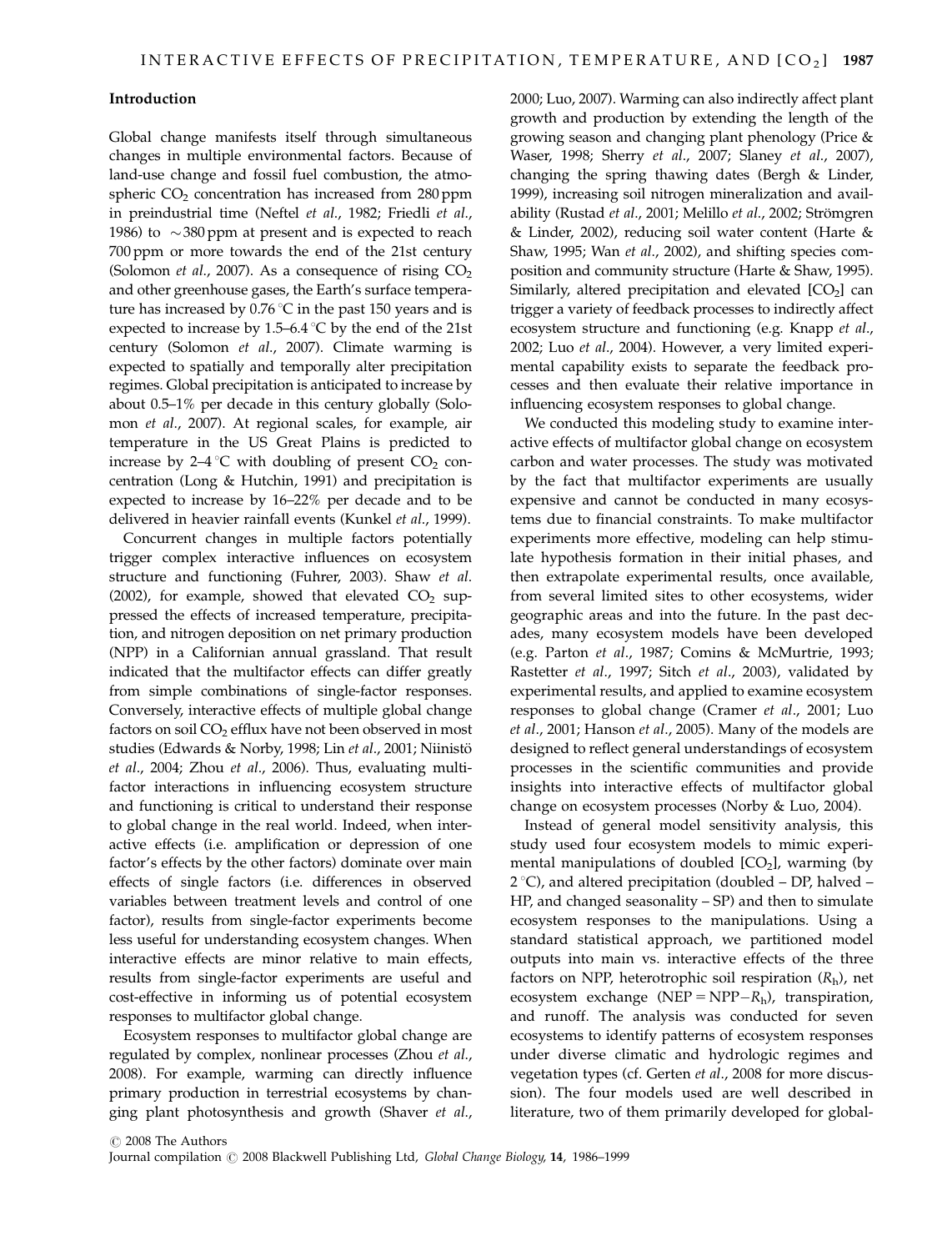#### Introduction

Global change manifests itself through simultaneous changes in multiple environmental factors. Because of land-use change and fossil fuel combustion, the atmospheric  $CO<sub>2</sub>$  concentration has increased from 280 ppm in preindustrial time (Neftel et al., 1982; Friedli et al., 1986) to  $\sim$ 380 ppm at present and is expected to reach 700 ppm or more towards the end of the 21st century (Solomon *et al.*, 2007). As a consequence of rising  $CO<sub>2</sub>$ and other greenhouse gases, the Earth's surface temperature has increased by  $0.76\degree C$  in the past 150 years and is expected to increase by 1.5–6.4  $\degree$ C by the end of the 21st century (Solomon et al., 2007). Climate warming is expected to spatially and temporally alter precipitation regimes. Global precipitation is anticipated to increase by about 0.5–1% per decade in this century globally (Solomon et al., 2007). At regional scales, for example, air temperature in the US Great Plains is predicted to increase by  $2-4$  °C with doubling of present CO<sub>2</sub> concentration (Long & Hutchin, 1991) and precipitation is expected to increase by 16–22% per decade and to be delivered in heavier rainfall events (Kunkel et al., 1999).

Concurrent changes in multiple factors potentially trigger complex interactive influences on ecosystem structure and functioning (Fuhrer, 2003). Shaw et al. (2002), for example, showed that elevated  $CO<sub>2</sub>$  suppressed the effects of increased temperature, precipitation, and nitrogen deposition on net primary production (NPP) in a Californian annual grassland. That result indicated that the multifactor effects can differ greatly from simple combinations of single-factor responses. Conversely, interactive effects of multiple global change factors on soil CO<sub>2</sub> efflux have not been observed in most studies (Edwards & Norby, 1998; Lin et al., 2001; Niinistö et al., 2004; Zhou et al., 2006). Thus, evaluating multifactor interactions in influencing ecosystem structure and functioning is critical to understand their response to global change in the real world. Indeed, when interactive effects (i.e. amplification or depression of one factor's effects by the other factors) dominate over main effects of single factors (i.e. differences in observed variables between treatment levels and control of one factor), results from single-factor experiments become less useful for understanding ecosystem changes. When interactive effects are minor relative to main effects, results from single-factor experiments are useful and cost-effective in informing us of potential ecosystem responses to multifactor global change.

Ecosystem responses to multifactor global change are regulated by complex, nonlinear processes (Zhou et al., 2008). For example, warming can directly influence primary production in terrestrial ecosystems by changing plant photosynthesis and growth (Shaver et al., 2000; Luo, 2007). Warming can also indirectly affect plant growth and production by extending the length of the growing season and changing plant phenology (Price & Waser, 1998; Sherry et al., 2007; Slaney et al., 2007), changing the spring thawing dates (Bergh & Linder, 1999), increasing soil nitrogen mineralization and availability (Rustad et al., 2001; Melillo et al., 2002; Strömgren & Linder, 2002), reducing soil water content (Harte & Shaw, 1995; Wan et al., 2002), and shifting species composition and community structure (Harte & Shaw, 1995). Similarly, altered precipitation and elevated  $[CO<sub>2</sub>]$  can trigger a variety of feedback processes to indirectly affect ecosystem structure and functioning (e.g. Knapp et al., 2002; Luo et al., 2004). However, a very limited experimental capability exists to separate the feedback processes and then evaluate their relative importance in influencing ecosystem responses to global change.

We conducted this modeling study to examine interactive effects of multifactor global change on ecosystem carbon and water processes. The study was motivated by the fact that multifactor experiments are usually expensive and cannot be conducted in many ecosystems due to financial constraints. To make multifactor experiments more effective, modeling can help stimulate hypothesis formation in their initial phases, and then extrapolate experimental results, once available, from several limited sites to other ecosystems, wider geographic areas and into the future. In the past decades, many ecosystem models have been developed (e.g. Parton et al., 1987; Comins & McMurtrie, 1993; Rastetter et al., 1997; Sitch et al., 2003), validated by experimental results, and applied to examine ecosystem responses to global change (Cramer et al., 2001; Luo et al., 2001; Hanson et al., 2005). Many of the models are designed to reflect general understandings of ecosystem processes in the scientific communities and provide insights into interactive effects of multifactor global change on ecosystem processes (Norby & Luo, 2004).

Instead of general model sensitivity analysis, this study used four ecosystem models to mimic experimental manipulations of doubled  $[CO<sub>2</sub>]$ , warming (by  $2^{\circ}$ C), and altered precipitation (doubled – DP, halved – HP, and changed seasonality – SP) and then to simulate ecosystem responses to the manipulations. Using a standard statistical approach, we partitioned model outputs into main vs. interactive effects of the three factors on NPP, heterotrophic soil respiration  $(R_h)$ , net ecosystem exchange (NEP = NPP $-R_h$ ), transpiration, and runoff. The analysis was conducted for seven ecosystems to identify patterns of ecosystem responses under diverse climatic and hydrologic regimes and vegetation types (cf. Gerten et al., 2008 for more discussion). The four models used are well described in literature, two of them primarily developed for global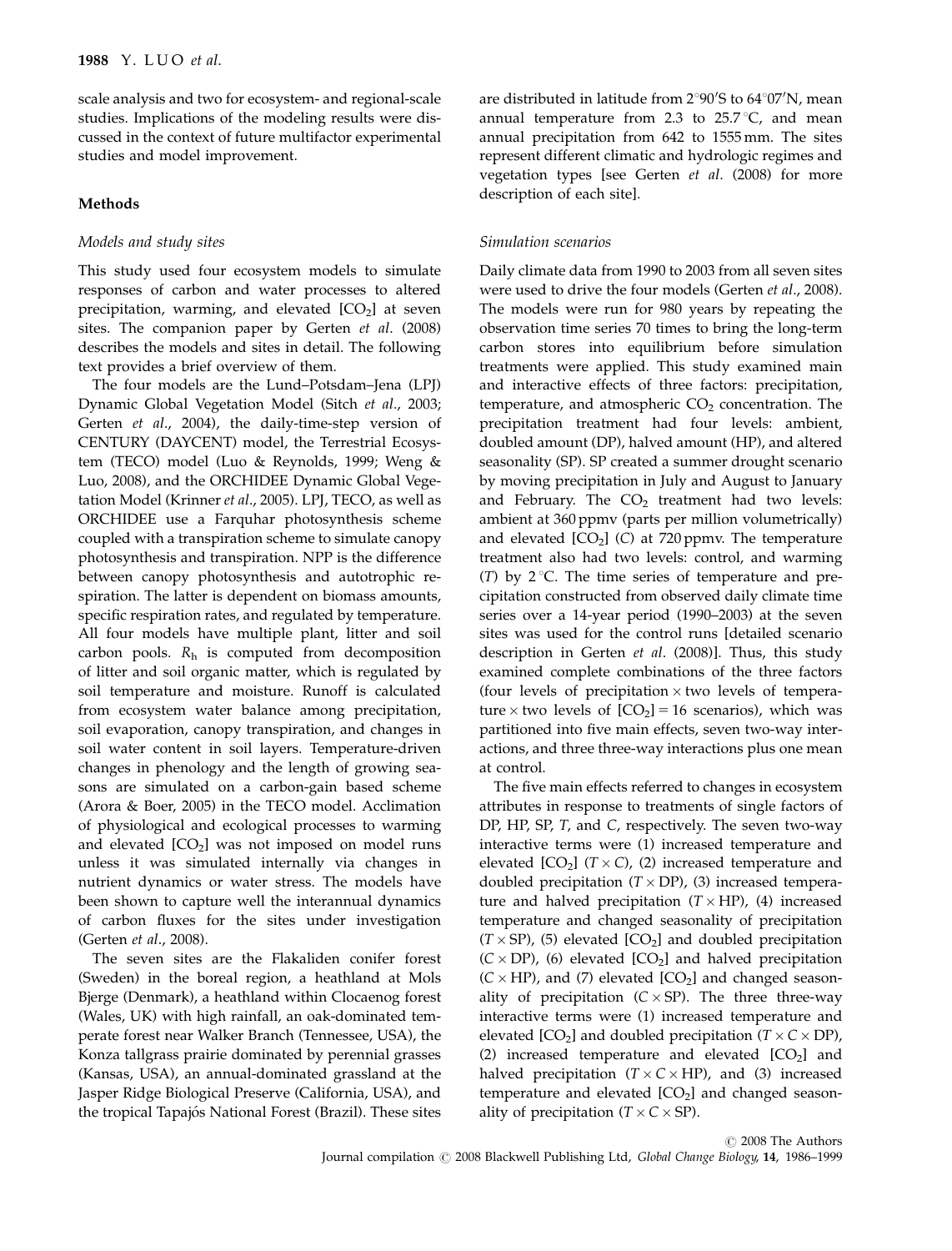scale analysis and two for ecosystem- and regional-scale studies. Implications of the modeling results were discussed in the context of future multifactor experimental studies and model improvement.

#### Methods

# Models and study sites

This study used four ecosystem models to simulate responses of carbon and water processes to altered precipitation, warming, and elevated  $[CO<sub>2</sub>]$  at seven sites. The companion paper by Gerten et al. (2008) describes the models and sites in detail. The following text provides a brief overview of them.

The four models are the Lund–Potsdam–Jena (LPJ) Dynamic Global Vegetation Model (Sitch et al., 2003; Gerten et al., 2004), the daily-time-step version of CENTURY (DAYCENT) model, the Terrestrial Ecosystem (TECO) model (Luo & Reynolds, 1999; Weng & Luo, 2008), and the ORCHIDEE Dynamic Global Vegetation Model (Krinner et al., 2005). LPJ, TECO, as well as ORCHIDEE use a Farquhar photosynthesis scheme coupled with a transpiration scheme to simulate canopy photosynthesis and transpiration. NPP is the difference between canopy photosynthesis and autotrophic respiration. The latter is dependent on biomass amounts, specific respiration rates, and regulated by temperature. All four models have multiple plant, litter and soil carbon pools.  $R<sub>h</sub>$  is computed from decomposition of litter and soil organic matter, which is regulated by soil temperature and moisture. Runoff is calculated from ecosystem water balance among precipitation, soil evaporation, canopy transpiration, and changes in soil water content in soil layers. Temperature-driven changes in phenology and the length of growing seasons are simulated on a carbon-gain based scheme (Arora & Boer, 2005) in the TECO model. Acclimation of physiological and ecological processes to warming and elevated  $[CO<sub>2</sub>]$  was not imposed on model runs unless it was simulated internally via changes in nutrient dynamics or water stress. The models have been shown to capture well the interannual dynamics of carbon fluxes for the sites under investigation (Gerten et al., 2008).

The seven sites are the Flakaliden conifer forest (Sweden) in the boreal region, a heathland at Mols Bjerge (Denmark), a heathland within Clocaenog forest (Wales, UK) with high rainfall, an oak-dominated temperate forest near Walker Branch (Tennessee, USA), the Konza tallgrass prairie dominated by perennial grasses (Kansas, USA), an annual-dominated grassland at the Jasper Ridge Biological Preserve (California, USA), and the tropical Tapajós National Forest (Brazil). These sites

are distributed in latitude from  $2^{\circ}90'$ S to  $64^{\circ}07'$ N, mean annual temperature from 2.3 to  $25.7^{\circ}$ C, and mean annual precipitation from 642 to 1555 mm. The sites represent different climatic and hydrologic regimes and vegetation types [see Gerten et al. (2008) for more description of each site].

# Simulation scenarios

Daily climate data from 1990 to 2003 from all seven sites were used to drive the four models (Gerten et al., 2008). The models were run for 980 years by repeating the observation time series 70 times to bring the long-term carbon stores into equilibrium before simulation treatments were applied. This study examined main and interactive effects of three factors: precipitation, temperature, and atmospheric  $CO<sub>2</sub>$  concentration. The precipitation treatment had four levels: ambient, doubled amount (DP), halved amount (HP), and altered seasonality (SP). SP created a summer drought scenario by moving precipitation in July and August to January and February. The  $CO<sub>2</sub>$  treatment had two levels: ambient at 360 ppmv (parts per million volumetrically) and elevated  $[CO<sub>2</sub>]$  (C) at 720 ppmv. The temperature treatment also had two levels: control, and warming (T) by  $2^{\circ}$ C. The time series of temperature and precipitation constructed from observed daily climate time series over a 14-year period (1990–2003) at the seven sites was used for the control runs [detailed scenario description in Gerten et al. (2008)]. Thus, this study examined complete combinations of the three factors (four levels of precipitation  $\times$  two levels of temperature  $\times$  two levels of  $[CO_2] = 16$  scenarios), which was partitioned into five main effects, seven two-way interactions, and three three-way interactions plus one mean at control.

The five main effects referred to changes in ecosystem attributes in response to treatments of single factors of DP, HP, SP, T, and C, respectively. The seven two-way interactive terms were (1) increased temperature and elevated  $[CO_2]$  ( $T \times C$ ), (2) increased temperature and doubled precipitation  $(T \times DP)$ , (3) increased temperature and halved precipitation  $(T \times HP)$ , (4) increased temperature and changed seasonality of precipitation  $(T \times SP)$ , (5) elevated [CO<sub>2</sub>] and doubled precipitation  $(C \times DP)$ , (6) elevated  $[CO<sub>2</sub>]$  and halved precipitation  $(C \times HP)$ , and (7) elevated  $[CO<sub>2</sub>]$  and changed seasonality of precipitation  $(C \times SP)$ . The three three-way interactive terms were (1) increased temperature and elevated [CO<sub>2</sub>] and doubled precipitation ( $T \times C \times DP$ ), (2) increased temperature and elevated  $[CO<sub>2</sub>]$  and halved precipitation  $(T \times C \times HP)$ , and (3) increased temperature and elevated  $[CO<sub>2</sub>]$  and changed seasonality of precipitation  $(T \times C \times SP)$ .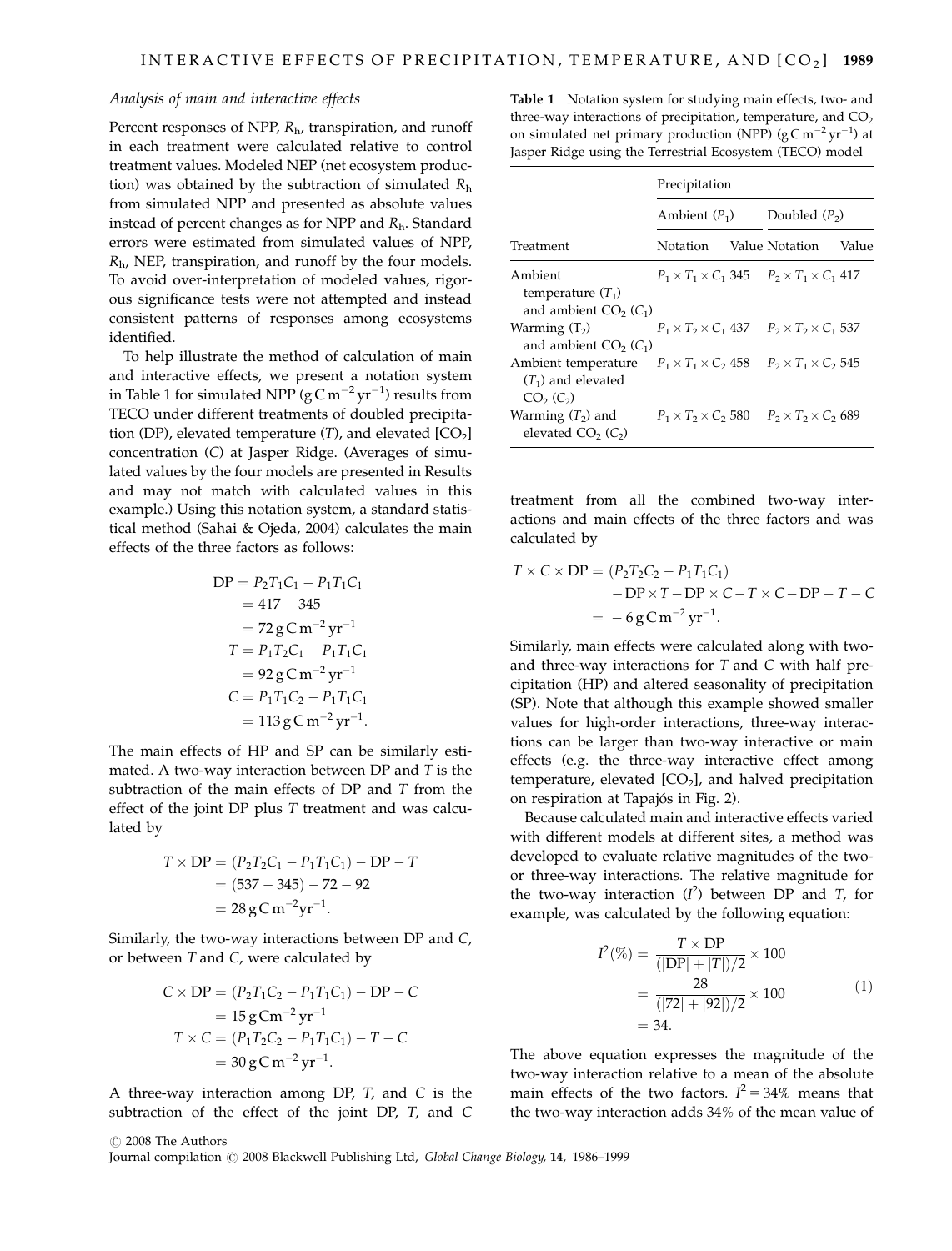# Analysis of main and interactive effects

Percent responses of NPP,  $R_{\rm h}$ , transpiration, and runoff in each treatment were calculated relative to control treatment values. Modeled NEP (net ecosystem production) was obtained by the subtraction of simulated  $R<sub>h</sub>$ from simulated NPP and presented as absolute values instead of percent changes as for NPP and  $R_h$ . Standard errors were estimated from simulated values of NPP,  $R<sub>h</sub>$ , NEP, transpiration, and runoff by the four models. To avoid over-interpretation of modeled values, rigorous significance tests were not attempted and instead consistent patterns of responses among ecosystems identified.

To help illustrate the method of calculation of main and interactive effects, we present a notation system in Table 1 for simulated NPP ( $\rm g\,C\,m^{-2}\,yr^{-1})$  results from TECO under different treatments of doubled precipitation (DP), elevated temperature  $(T)$ , and elevated  $[CO<sub>2</sub>]$ concentration (C) at Jasper Ridge. (Averages of simulated values by the four models are presented in Results and may not match with calculated values in this example.) Using this notation system, a standard statistical method (Sahai & Ojeda, 2004) calculates the main effects of the three factors as follows:

$$
DP = P_2T_1C_1 - P_1T_1C_1
$$
  
= 417 - 345  
= 72 g C m<sup>-2</sup> yr<sup>-1</sup>  

$$
T = P_1T_2C_1 - P_1T_1C_1
$$
  
= 92 g C m<sup>-2</sup> yr<sup>-1</sup>  

$$
C = P_1T_1C_2 - P_1T_1C_1
$$
  
= 113 g C m<sup>-2</sup> yr<sup>-1</sup>.

The main effects of HP and SP can be similarly estimated. A two-way interaction between  $DP$  and  $T$  is the subtraction of the main effects of DP and T from the effect of the joint DP plus T treatment and was calculated by

$$
T \times DP = (P_2T_2C_1 - P_1T_1C_1) - DP - T
$$
  
= (537 - 345) - 72 - 92  
= 28 g C m<sup>-2</sup> yr<sup>-1</sup>.

Similarly, the two-way interactions between DP and C, or between T and C, were calculated by

$$
C \times DP = (P_2T_1C_2 - P_1T_1C_1) - DP - C
$$
  
= 15 g Cm<sup>-2</sup> yr<sup>-1</sup>  

$$
T \times C = (P_1T_2C_2 - P_1T_1C_1) - T - C
$$
  
= 30 g C m<sup>-2</sup> yr<sup>-1</sup>.

A three-way interaction among DP, T, and C is the subtraction of the effect of the joint DP, T, and C

Table 1 Notation system for studying main effects, two- and three-way interactions of precipitation, temperature, and  $CO<sub>2</sub>$ on simulated net primary production (NPP)  $(gCm^{-2}yr^{-1})$  at Jasper Ridge using the Terrestrial Ecosystem (TECO) model

|                                                                                                                                                  | Precipitation   |  |                                                                 |       |
|--------------------------------------------------------------------------------------------------------------------------------------------------|-----------------|--|-----------------------------------------------------------------|-------|
|                                                                                                                                                  | Ambient $(P_1)$ |  | Doubled $(P_2)$                                                 |       |
| Treatment                                                                                                                                        | Notation        |  | Value Notation                                                  | Value |
| Ambient<br>temperature $(T_1)$<br>and ambient $CO2(C1)$                                                                                          |                 |  | $P_1 \times T_1 \times C_1$ 345 $P_2 \times T_1 \times C_1$ 417 |       |
| Warming $(T_2)$<br>and ambient $CO2(C1)$                                                                                                         |                 |  | $P_1 \times T_2 \times C_1$ 437 $P_2 \times T_2 \times C_1$ 537 |       |
| Ambient temperature $P_1 \times T_1 \times C_2$ 458 $P_2 \times T_1 \times C_2$ 545<br>$(T_1)$ and elevated<br>CO <sub>2</sub> (C <sub>2</sub> ) |                 |  |                                                                 |       |
| Warming $(T_2)$ and<br>elevated $CO2 (C2)$                                                                                                       |                 |  | $P_1 \times T_2 \times C_2$ 580 $P_2 \times T_2 \times C_2$ 689 |       |

treatment from all the combined two-way interactions and main effects of the three factors and was calculated by

$$
T \times C \times DP = (P_2T_2C_2 - P_1T_1C_1)
$$
  
- DP \times T - DP \times C - T \times C - DP - T - C  
= -6 g C m<sup>-2</sup> yr<sup>-1</sup>.

Similarly, main effects were calculated along with twoand three-way interactions for  $T$  and  $C$  with half precipitation (HP) and altered seasonality of precipitation (SP). Note that although this example showed smaller values for high-order interactions, three-way interactions can be larger than two-way interactive or main effects (e.g. the three-way interactive effect among temperature, elevated  $[CO<sub>2</sub>]$ , and halved precipitation on respiration at Tapajós in Fig. 2).

Because calculated main and interactive effects varied with different models at different sites, a method was developed to evaluate relative magnitudes of the twoor three-way interactions. The relative magnitude for the two-way interaction  $(I^2)$  between DP and T, for example, was calculated by the following equation:

$$
I^{2}(\%) = \frac{T \times DP}{(|DP| + |T|)/2} \times 100
$$
  
= 
$$
\frac{28}{(|72| + |92|)/2} \times 100
$$
  
= 34. (1)

The above equation expresses the magnitude of the two-way interaction relative to a mean of the absolute main effects of the two factors.  $I^2 = 34\%$  means that the two-way interaction adds 34% of the mean value of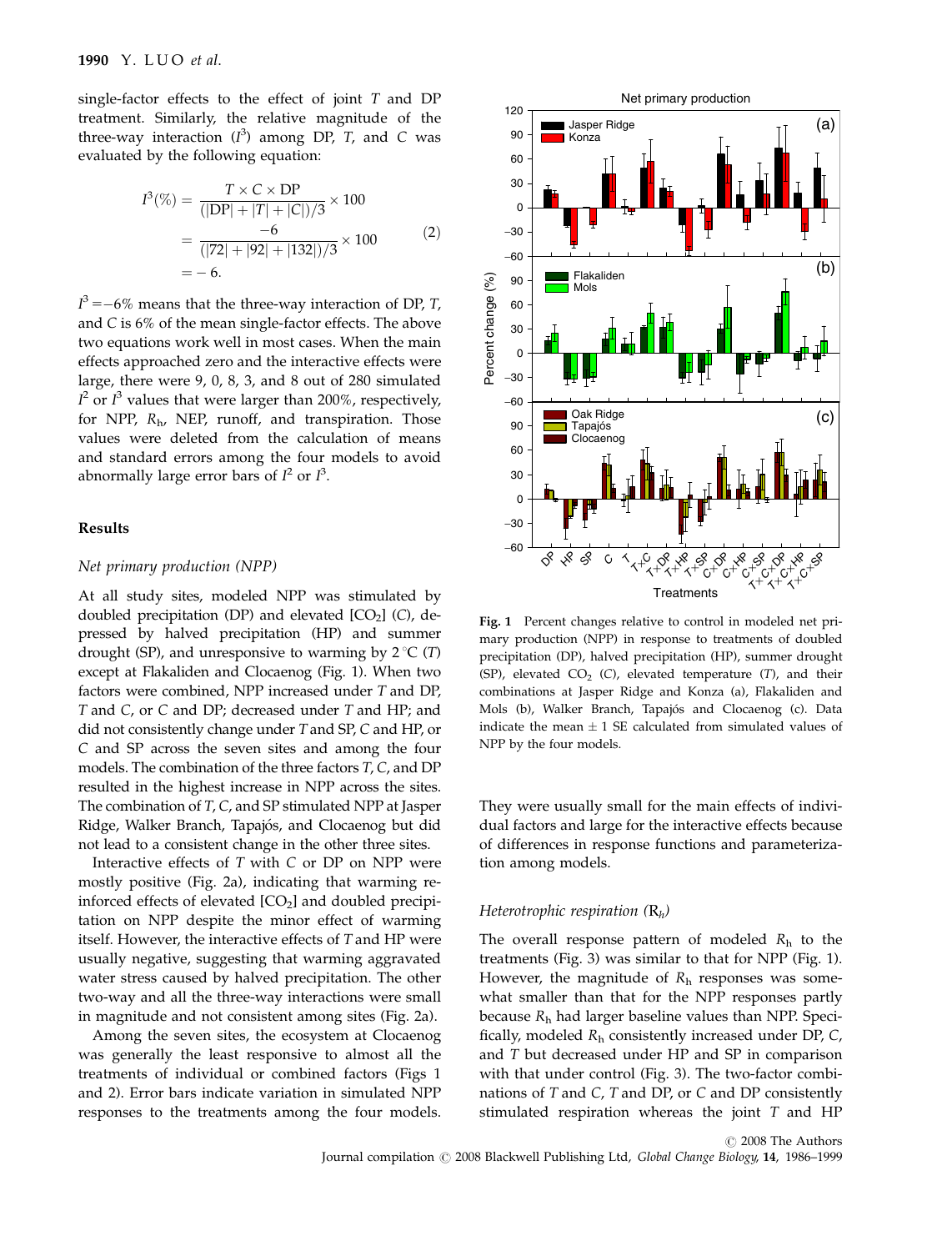single-factor effects to the effect of joint  $T$  and  $DP$ treatment. Similarly, the relative magnitude of the three-way interaction  $(I^3)$  among DP, T, and C was evaluated by the following equation:

$$
I^{3}(\%) = \frac{T \times C \times DP}{(|DP| + |T| + |C|)/3} \times 100
$$
  
= 
$$
\frac{-6}{(|72| + |92| + |132|)/3} \times 100
$$
  
= -6. (2)

 $I^3 = -6\%$  means that the three-way interaction of DP, T, and C is 6% of the mean single-factor effects. The above two equations work well in most cases. When the main effects approached zero and the interactive effects were large, there were 9, 0, 8, 3, and 8 out of 280 simulated  $I^2$  or  $I^3$  values that were larger than 200%, respectively, for NPP,  $R_{h}$ , NEP, runoff, and transpiration. Those values were deleted from the calculation of means and standard errors among the four models to avoid abnormally large error bars of  $I^2$  or  $I^3$ .

## Results

#### Net primary production (NPP)

At all study sites, modeled NPP was stimulated by doubled precipitation (DP) and elevated  $[CO<sub>2</sub>]$  (C), depressed by halved precipitation (HP) and summer drought (SP), and unresponsive to warming by  $2^{\circ}C(T)$ except at Flakaliden and Clocaenog (Fig. 1). When two factors were combined, NPP increased under T and DP, T and C, or C and DP; decreased under T and HP; and did not consistently change under T and SP, C and HP, or C and SP across the seven sites and among the four models. The combination of the three factors T, C, and DP resulted in the highest increase in NPP across the sites. The combination of T, C, and SP stimulated NPP at Jasper Ridge, Walker Branch, Tapajós, and Clocaenog but did not lead to a consistent change in the other three sites.

Interactive effects of T with C or DP on NPP were mostly positive (Fig. 2a), indicating that warming reinforced effects of elevated  $[CO<sub>2</sub>]$  and doubled precipitation on NPP despite the minor effect of warming itself. However, the interactive effects of T and HP were usually negative, suggesting that warming aggravated water stress caused by halved precipitation. The other two-way and all the three-way interactions were small in magnitude and not consistent among sites (Fig. 2a).

Among the seven sites, the ecosystem at Clocaenog was generally the least responsive to almost all the treatments of individual or combined factors (Figs 1 and 2). Error bars indicate variation in simulated NPP responses to the treatments among the four models.



Fig. 1 Percent changes relative to control in modeled net primary production (NPP) in response to treatments of doubled precipitation (DP), halved precipitation (HP), summer drought (SP), elevated  $CO<sub>2</sub>$  (C), elevated temperature (T), and their combinations at Jasper Ridge and Konza (a), Flakaliden and Mols (b), Walker Branch, Tapajós and Clocaenog (c). Data indicate the mean  $\pm$  1 SE calculated from simulated values of NPP by the four models.

They were usually small for the main effects of individual factors and large for the interactive effects because of differences in response functions and parameterization among models.

#### Heterotrophic respiration  $(R_h)$

The overall response pattern of modeled  $R_h$  to the treatments (Fig. 3) was similar to that for NPP (Fig. 1). However, the magnitude of  $R_h$  responses was somewhat smaller than that for the NPP responses partly because  $R<sub>h</sub>$  had larger baseline values than NPP. Specifically, modeled  $R_h$  consistently increased under DP, C, and T but decreased under HP and SP in comparison with that under control (Fig. 3). The two-factor combinations of T and C, T and DP, or C and DP consistently stimulated respiration whereas the joint T and HP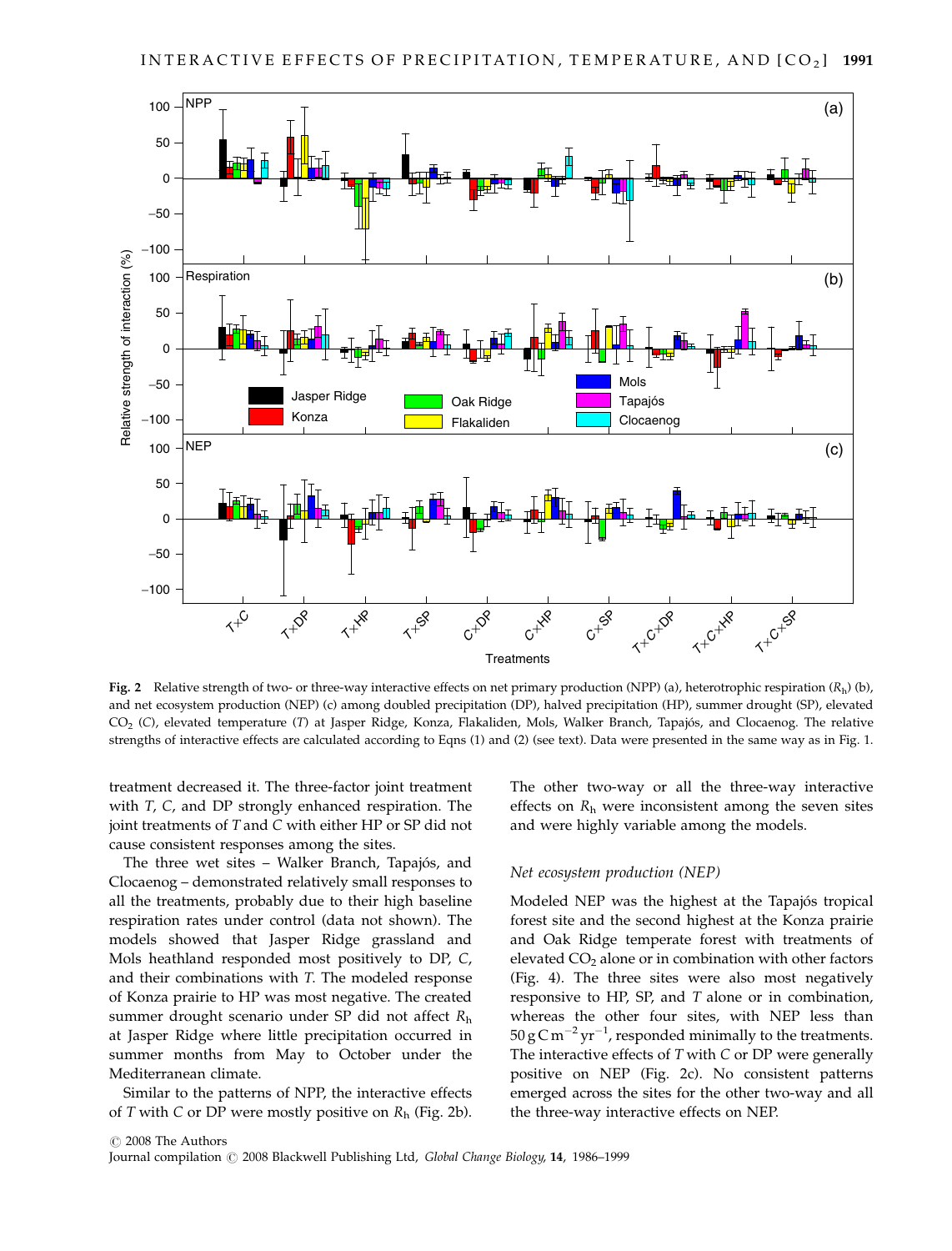

Fig. 2 Relative strength of two- or three-way interactive effects on net primary production (NPP) (a), heterotrophic respiration  $(R_h)$  (b), and net ecosystem production (NEP) (c) among doubled precipitation (DP), halved precipitation (HP), summer drought (SP), elevated CO<sub>2</sub> (C), elevated temperature (T) at Jasper Ridge, Konza, Flakaliden, Mols, Walker Branch, Tapajós, and Clocaenog. The relative strengths of interactive effects are calculated according to Eqns (1) and (2) (see text). Data were presented in the same way as in Fig. 1.

treatment decreased it. The three-factor joint treatment with T, C, and DP strongly enhanced respiration. The joint treatments of T and C with either HP or SP did not cause consistent responses among the sites.

The three wet sites – Walker Branch, Tapajós, and Clocaenog – demonstrated relatively small responses to all the treatments, probably due to their high baseline respiration rates under control (data not shown). The models showed that Jasper Ridge grassland and Mols heathland responded most positively to DP, C, and their combinations with T. The modeled response of Konza prairie to HP was most negative. The created summer drought scenario under SP did not affect  $R<sub>h</sub>$ at Jasper Ridge where little precipitation occurred in summer months from May to October under the Mediterranean climate.

Similar to the patterns of NPP, the interactive effects of T with C or DP were mostly positive on  $R_h$  (Fig. 2b). The other two-way or all the three-way interactive effects on  $R_h$  were inconsistent among the seven sites and were highly variable among the models.

#### Net ecosystem production (NEP)

Modeled NEP was the highest at the Tapajós tropical forest site and the second highest at the Konza prairie and Oak Ridge temperate forest with treatments of elevated  $CO<sub>2</sub>$  alone or in combination with other factors (Fig. 4). The three sites were also most negatively responsive to HP, SP, and T alone or in combination, whereas the other four sites, with NEP less than  $50 g$ C m<sup>-2</sup> yr<sup>-1</sup>, responded minimally to the treatments. The interactive effects of T with C or DP were generally positive on NEP (Fig. 2c). No consistent patterns emerged across the sites for the other two-way and all the three-way interactive effects on NEP.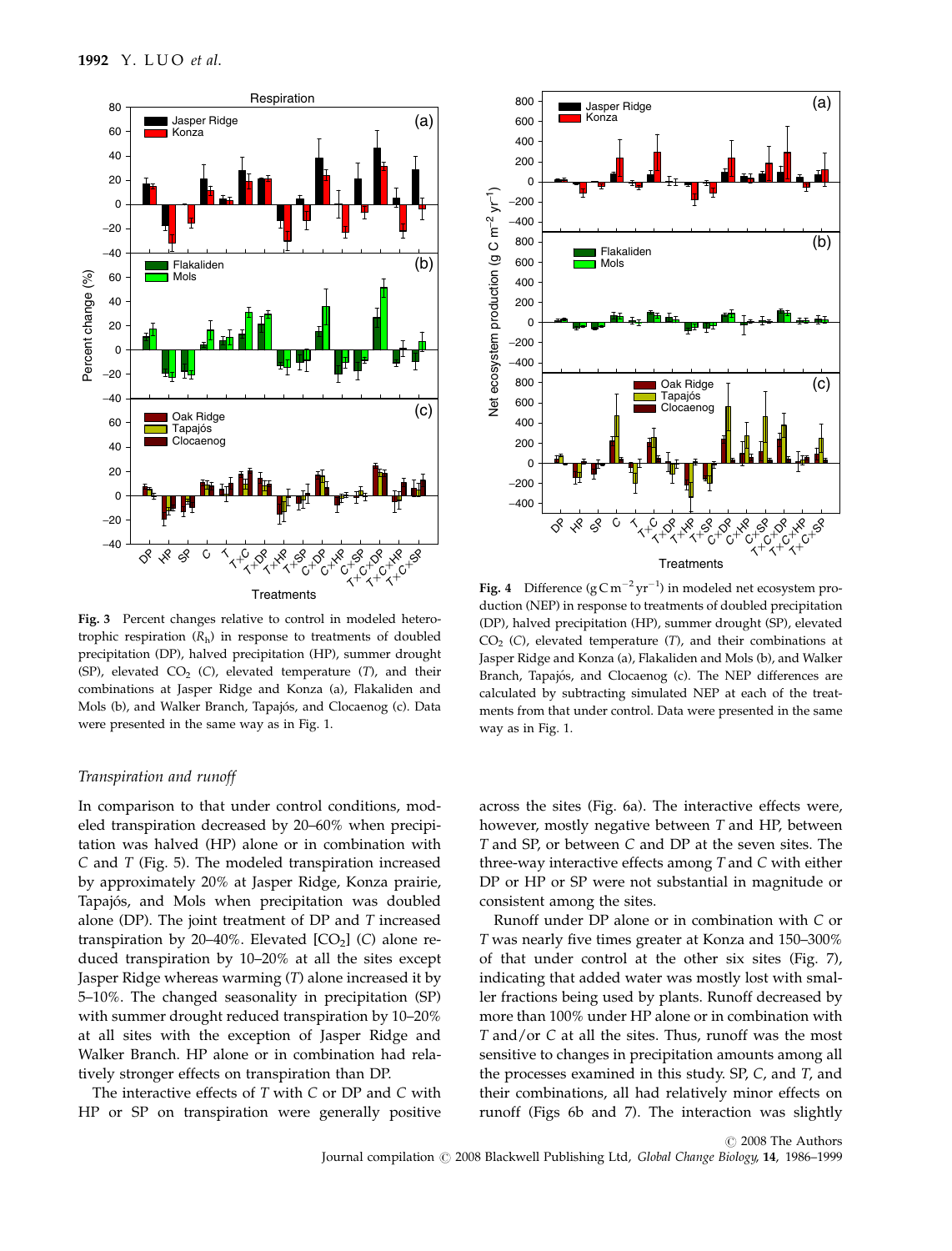

Fig. 3 Percent changes relative to control in modeled heterotrophic respiration  $(R_h)$  in response to treatments of doubled precipitation (DP), halved precipitation (HP), summer drought (SP), elevated  $CO<sub>2</sub>$  (C), elevated temperature (T), and their combinations at Jasper Ridge and Konza (a), Flakaliden and Mols (b), and Walker Branch, Tapajós, and Clocaenog (c). Data were presented in the same way as in Fig. 1.

# Transpiration and runoff

In comparison to that under control conditions, modeled transpiration decreased by 20–60% when precipitation was halved (HP) alone or in combination with C and T (Fig. 5). The modeled transpiration increased by approximately 20% at Jasper Ridge, Konza prairie, Tapajós, and Mols when precipitation was doubled alone (DP). The joint treatment of  $DP$  and  $T$  increased transpiration by 20–40%. Elevated  $[CO<sub>2</sub>]$  (C) alone reduced transpiration by 10–20% at all the sites except Jasper Ridge whereas warming (T) alone increased it by 5–10%. The changed seasonality in precipitation (SP) with summer drought reduced transpiration by 10–20% at all sites with the exception of Jasper Ridge and Walker Branch. HP alone or in combination had relatively stronger effects on transpiration than DP.

The interactive effects of T with C or DP and C with HP or SP on transpiration were generally positive



**Fig. 4** Difference ( $gCm^{-2}yr^{-1}$ ) in modeled net ecosystem production (NEP) in response to treatments of doubled precipitation (DP), halved precipitation (HP), summer drought (SP), elevated  $CO<sub>2</sub>$  (C), elevated temperature (T), and their combinations at Jasper Ridge and Konza (a), Flakaliden and Mols (b), and Walker Branch, Tapajós, and Clocaenog (c). The NEP differences are calculated by subtracting simulated NEP at each of the treatments from that under control. Data were presented in the same way as in Fig. 1.

across the sites (Fig. 6a). The interactive effects were, however, mostly negative between T and HP, between T and SP, or between C and DP at the seven sites. The three-way interactive effects among T and C with either DP or HP or SP were not substantial in magnitude or consistent among the sites.

Runoff under DP alone or in combination with C or T was nearly five times greater at Konza and 150–300% of that under control at the other six sites (Fig. 7), indicating that added water was mostly lost with smaller fractions being used by plants. Runoff decreased by more than 100% under HP alone or in combination with T and/or C at all the sites. Thus, runoff was the most sensitive to changes in precipitation amounts among all the processes examined in this study. SP, C, and T, and their combinations, all had relatively minor effects on runoff (Figs 6b and 7). The interaction was slightly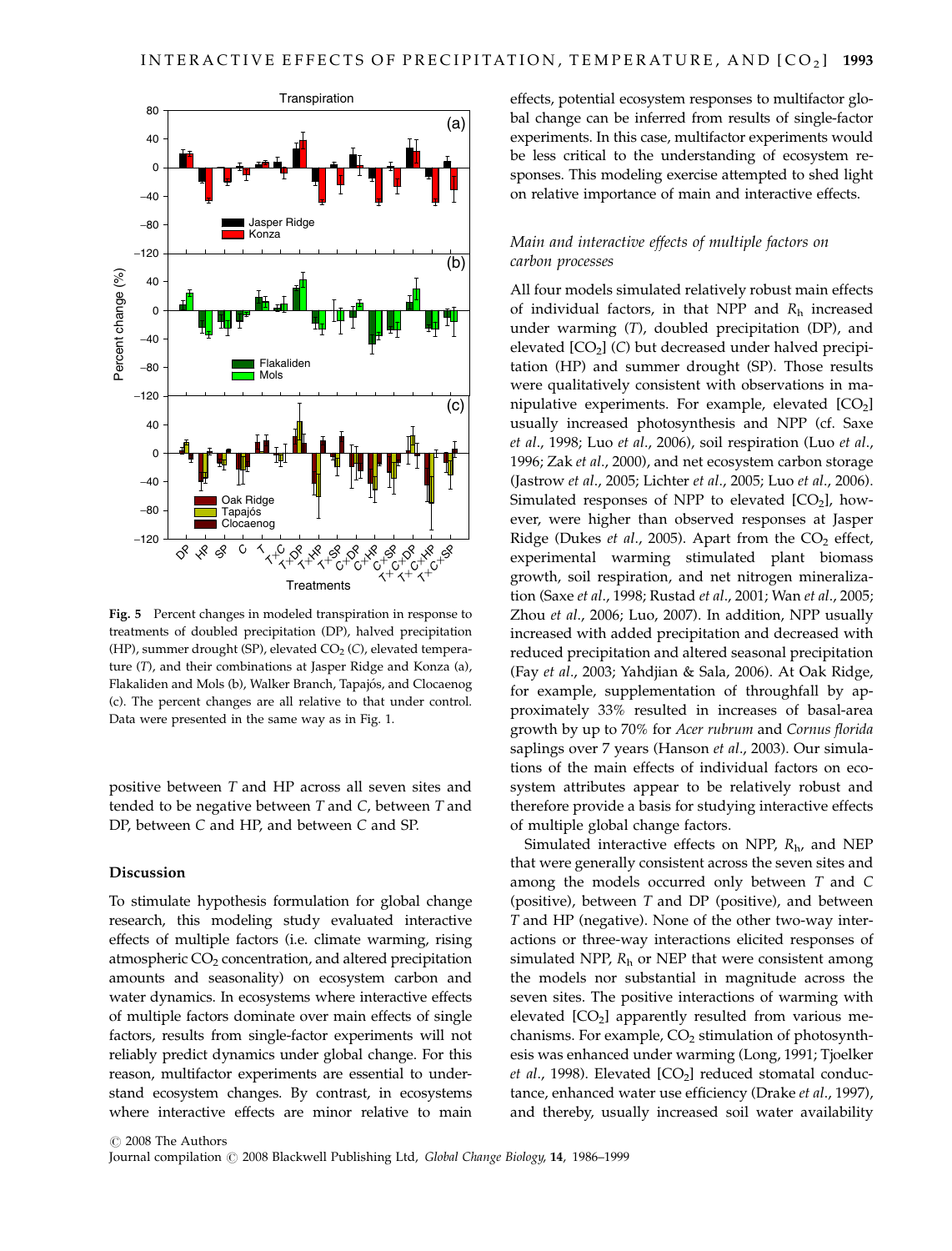

Fig. 5 Percent changes in modeled transpiration in response to treatments of doubled precipitation (DP), halved precipitation (HP), summer drought (SP), elevated  $CO<sub>2</sub>$  (C), elevated temperature (T), and their combinations at Jasper Ridge and Konza (a), Flakaliden and Mols (b), Walker Branch, Tapajós, and Clocaenog (c). The percent changes are all relative to that under control. Data were presented in the same way as in Fig. 1.

positive between T and HP across all seven sites and tended to be negative between T and C, between T and DP, between C and HP, and between C and SP.

#### Discussion

To stimulate hypothesis formulation for global change research, this modeling study evaluated interactive effects of multiple factors (i.e. climate warming, rising atmospheric  $CO<sub>2</sub>$  concentration, and altered precipitation amounts and seasonality) on ecosystem carbon and water dynamics. In ecosystems where interactive effects of multiple factors dominate over main effects of single factors, results from single-factor experiments will not reliably predict dynamics under global change. For this reason, multifactor experiments are essential to understand ecosystem changes. By contrast, in ecosystems where interactive effects are minor relative to main

effects, potential ecosystem responses to multifactor global change can be inferred from results of single-factor experiments. In this case, multifactor experiments would be less critical to the understanding of ecosystem responses. This modeling exercise attempted to shed light on relative importance of main and interactive effects.

# Main and interactive effects of multiple factors on carbon processes

All four models simulated relatively robust main effects of individual factors, in that NPP and  $R<sub>h</sub>$  increased under warming (T), doubled precipitation (DP), and elevated  $[CO<sub>2</sub>]$  (C) but decreased under halved precipitation (HP) and summer drought (SP). Those results were qualitatively consistent with observations in manipulative experiments. For example, elevated  $[CO<sub>2</sub>]$ usually increased photosynthesis and NPP (cf. Saxe et al., 1998; Luo et al., 2006), soil respiration (Luo et al., 1996; Zak et al., 2000), and net ecosystem carbon storage (Jastrow et al., 2005; Lichter et al., 2005; Luo et al., 2006). Simulated responses of NPP to elevated  $[CO<sub>2</sub>]$ , however, were higher than observed responses at Jasper Ridge (Dukes et al., 2005). Apart from the  $CO<sub>2</sub>$  effect, experimental warming stimulated plant biomass growth, soil respiration, and net nitrogen mineralization (Saxe et al., 1998; Rustad et al., 2001; Wan et al., 2005; Zhou et al., 2006; Luo, 2007). In addition, NPP usually increased with added precipitation and decreased with reduced precipitation and altered seasonal precipitation (Fay et al., 2003; Yahdjian & Sala, 2006). At Oak Ridge, for example, supplementation of throughfall by approximately 33% resulted in increases of basal-area growth by up to 70% for Acer rubrum and Cornus florida saplings over 7 years (Hanson et al., 2003). Our simulations of the main effects of individual factors on ecosystem attributes appear to be relatively robust and therefore provide a basis for studying interactive effects of multiple global change factors.

Simulated interactive effects on NPP,  $R_{\rm h}$ , and NEP that were generally consistent across the seven sites and among the models occurred only between T and C (positive), between T and DP (positive), and between T and HP (negative). None of the other two-way interactions or three-way interactions elicited responses of simulated NPP,  $R<sub>h</sub>$  or NEP that were consistent among the models nor substantial in magnitude across the seven sites. The positive interactions of warming with elevated  $[CO<sub>2</sub>]$  apparently resulted from various mechanisms. For example,  $CO<sub>2</sub>$  stimulation of photosynthesis was enhanced under warming (Long, 1991; Tjoelker et al., 1998). Elevated  $[CO<sub>2</sub>]$  reduced stomatal conductance, enhanced water use efficiency (Drake et al., 1997), and thereby, usually increased soil water availability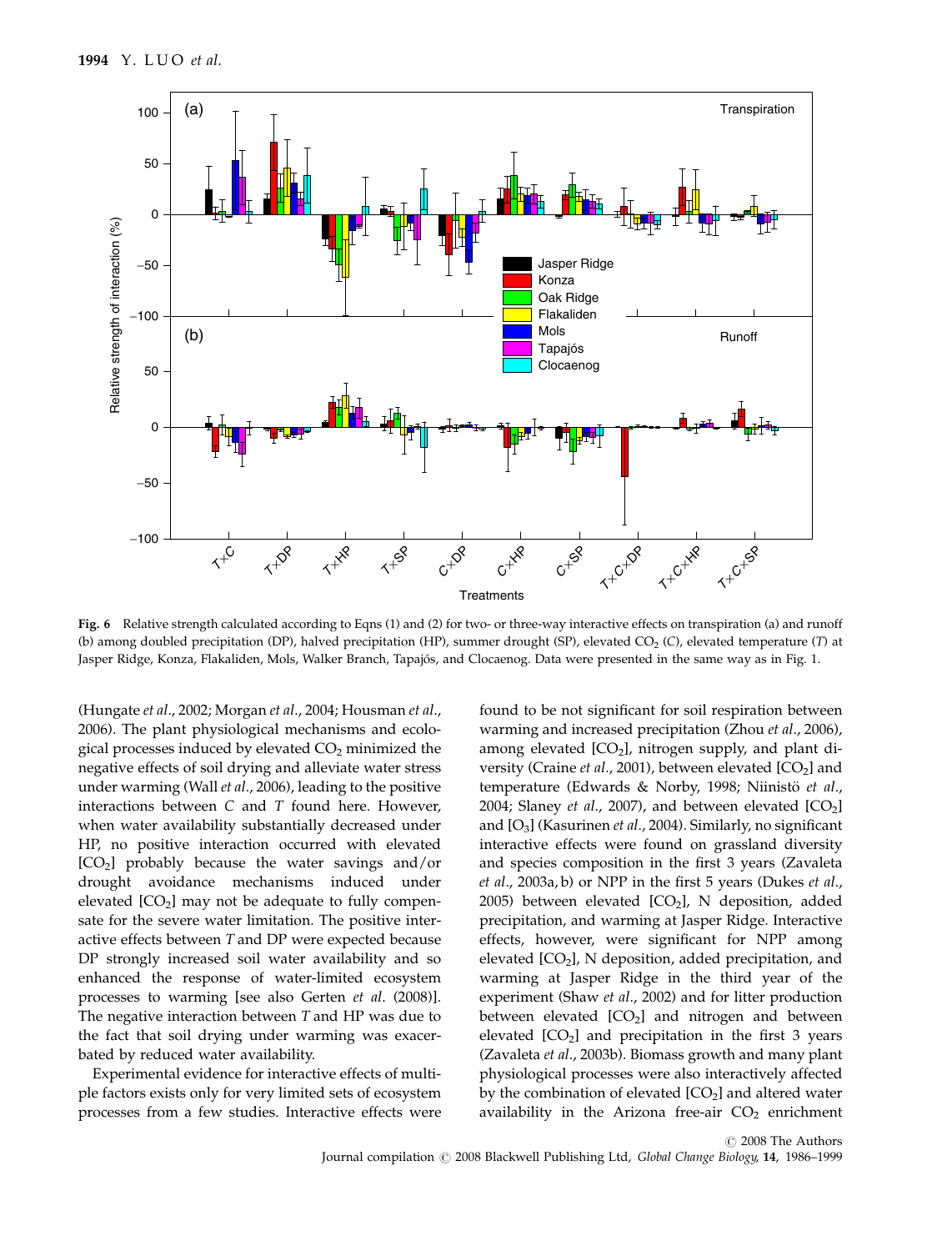

Fig. 6 Relative strength calculated according to Eqns (1) and (2) for two- or three-way interactive effects on transpiration (a) and runoff (b) among doubled precipitation (DP), halved precipitation (HP), summer drought (SP), elevated CO<sub>2</sub> (C), elevated temperature (T) at Jasper Ridge, Konza, Flakaliden, Mols, Walker Branch, Tapajós, and Clocaenog. Data were presented in the same way as in Fig. 1.

(Hungate et al., 2002; Morgan et al., 2004; Housman et al., 2006). The plant physiological mechanisms and ecological processes induced by elevated  $CO<sub>2</sub>$  minimized the negative effects of soil drying and alleviate water stress under warming (Wall et al., 2006), leading to the positive interactions between  $C$  and  $T$  found here. However, when water availability substantially decreased under HP, no positive interaction occurred with elevated  $[CO<sub>2</sub>]$  probably because the water savings and/or drought avoidance mechanisms induced under elevated  $[CO<sub>2</sub>]$  may not be adequate to fully compensate for the severe water limitation. The positive interactive effects between T and DP were expected because DP strongly increased soil water availability and so enhanced the response of water-limited ecosystem processes to warming [see also Gerten et al. (2008)]. The negative interaction between T and HP was due to the fact that soil drying under warming was exacerbated by reduced water availability.

Experimental evidence for interactive effects of multiple factors exists only for very limited sets of ecosystem processes from a few studies. Interactive effects were found to be not significant for soil respiration between warming and increased precipitation (Zhou et al., 2006), among elevated  $[CO<sub>2</sub>]$ , nitrogen supply, and plant diversity (Craine et al., 2001), between elevated  $[CO<sub>2</sub>]$  and temperature (Edwards & Norby, 1998; Niinistö et al., 2004; Slaney et al., 2007), and between elevated  $[CO<sub>2</sub>]$ and  $[O_3]$  (Kasurinen *et al.*, 2004). Similarly, no significant interactive effects were found on grassland diversity and species composition in the first 3 years (Zavaleta et al., 2003a, b) or NPP in the first 5 years (Dukes et al., 2005) between elevated  $[CO<sub>2</sub>]$ , N deposition, added precipitation, and warming at Jasper Ridge. Interactive effects, however, were significant for NPP among elevated  $[CO<sub>2</sub>]$ , N deposition, added precipitation, and warming at Jasper Ridge in the third year of the experiment (Shaw et al., 2002) and for litter production between elevated  $[CO<sub>2</sub>]$  and nitrogen and between elevated  $[CO<sub>2</sub>]$  and precipitation in the first 3 years (Zavaleta et al., 2003b). Biomass growth and many plant physiological processes were also interactively affected by the combination of elevated  $[CO<sub>2</sub>]$  and altered water availability in the Arizona free-air  $CO<sub>2</sub>$  enrichment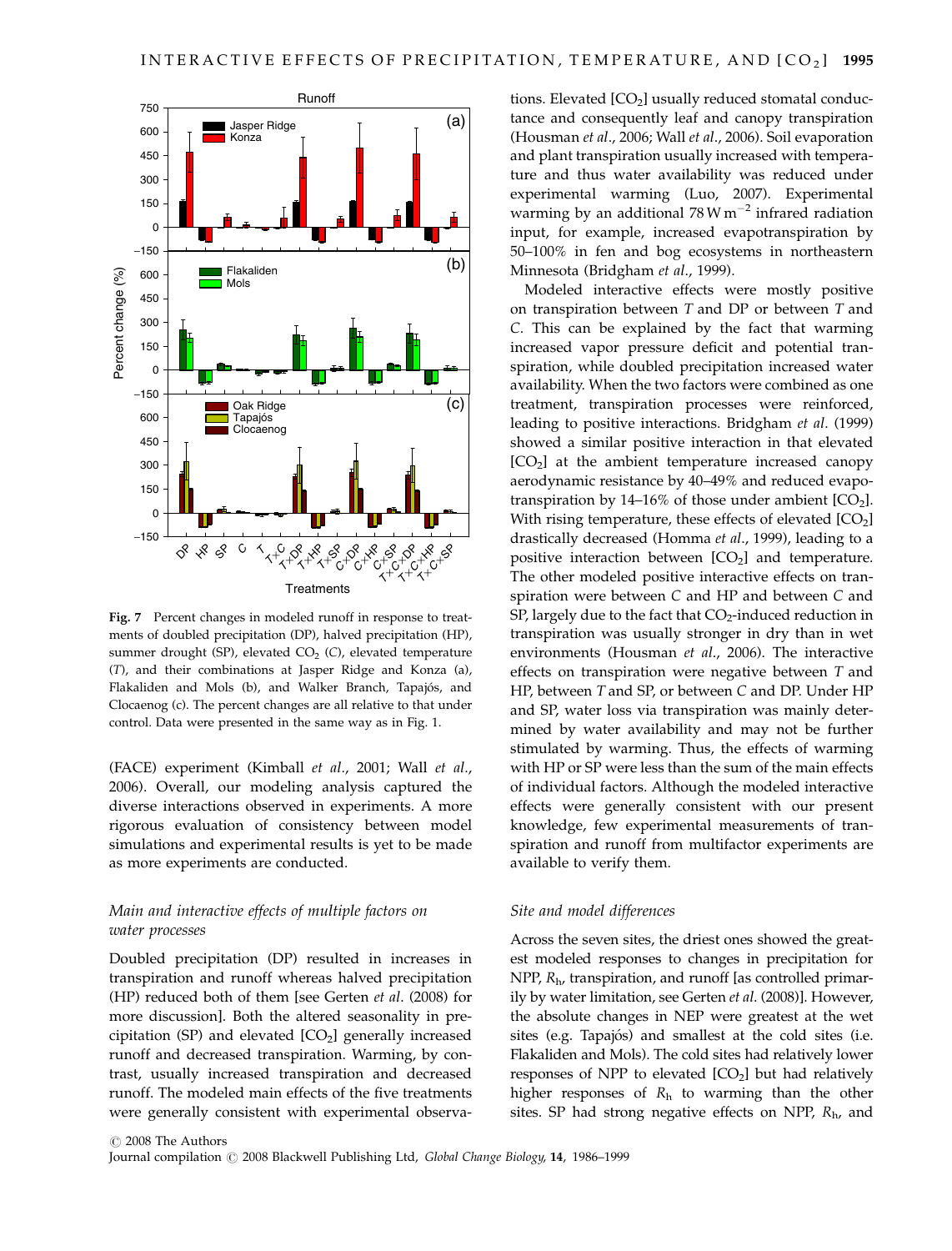

Fig. 7 Percent changes in modeled runoff in response to treatments of doubled precipitation (DP), halved precipitation (HP), summer drought (SP), elevated  $CO<sub>2</sub>$  (C), elevated temperature (T), and their combinations at Jasper Ridge and Konza (a), Flakaliden and Mols (b), and Walker Branch, Tapajós, and Clocaenog (c). The percent changes are all relative to that under control. Data were presented in the same way as in Fig. 1.

(FACE) experiment (Kimball et al., 2001; Wall et al., 2006). Overall, our modeling analysis captured the diverse interactions observed in experiments. A more rigorous evaluation of consistency between model simulations and experimental results is yet to be made as more experiments are conducted.

# Main and interactive effects of multiple factors on water processes

Doubled precipitation (DP) resulted in increases in transpiration and runoff whereas halved precipitation (HP) reduced both of them [see Gerten et al. (2008) for more discussion]. Both the altered seasonality in precipitation (SP) and elevated  $[CO<sub>2</sub>]$  generally increased runoff and decreased transpiration. Warming, by contrast, usually increased transpiration and decreased runoff. The modeled main effects of the five treatments were generally consistent with experimental observations. Elevated  $[CO<sub>2</sub>]$  usually reduced stomatal conductance and consequently leaf and canopy transpiration (Housman et al., 2006; Wall et al., 2006). Soil evaporation and plant transpiration usually increased with temperature and thus water availability was reduced under experimental warming (Luo, 2007). Experimental warming by an additional  $78 \text{ W m}^{-2}$  infrared radiation input, for example, increased evapotranspiration by 50–100% in fen and bog ecosystems in northeastern Minnesota (Bridgham et al., 1999).

Modeled interactive effects were mostly positive on transpiration between T and DP or between T and C. This can be explained by the fact that warming increased vapor pressure deficit and potential transpiration, while doubled precipitation increased water availability. When the two factors were combined as one treatment, transpiration processes were reinforced, leading to positive interactions. Bridgham et al. (1999) showed a similar positive interaction in that elevated  $[CO<sub>2</sub>]$  at the ambient temperature increased canopy aerodynamic resistance by 40–49% and reduced evapotranspiration by 14–16% of those under ambient  $[CO<sub>2</sub>]$ . With rising temperature, these effects of elevated  $[CO<sub>2</sub>]$ drastically decreased (Homma et al., 1999), leading to a positive interaction between  $[CO<sub>2</sub>]$  and temperature. The other modeled positive interactive effects on transpiration were between C and HP and between C and SP, largely due to the fact that  $CO_2$ -induced reduction in transpiration was usually stronger in dry than in wet environments (Housman et al., 2006). The interactive effects on transpiration were negative between T and HP, between T and SP, or between C and DP. Under HP and SP, water loss via transpiration was mainly determined by water availability and may not be further stimulated by warming. Thus, the effects of warming with HP or SP were less than the sum of the main effects of individual factors. Although the modeled interactive effects were generally consistent with our present knowledge, few experimental measurements of transpiration and runoff from multifactor experiments are available to verify them.

#### Site and model differences

Across the seven sites, the driest ones showed the greatest modeled responses to changes in precipitation for NPP, Rh, transpiration, and runoff [as controlled primarily by water limitation, see Gerten et al. (2008)]. However, the absolute changes in NEP were greatest at the wet sites (e.g. Tapajós) and smallest at the cold sites (i.e. Flakaliden and Mols). The cold sites had relatively lower responses of NPP to elevated  $[CO<sub>2</sub>]$  but had relatively higher responses of  $R<sub>h</sub>$  to warming than the other sites. SP had strong negative effects on NPP,  $R_{\rm h}$ , and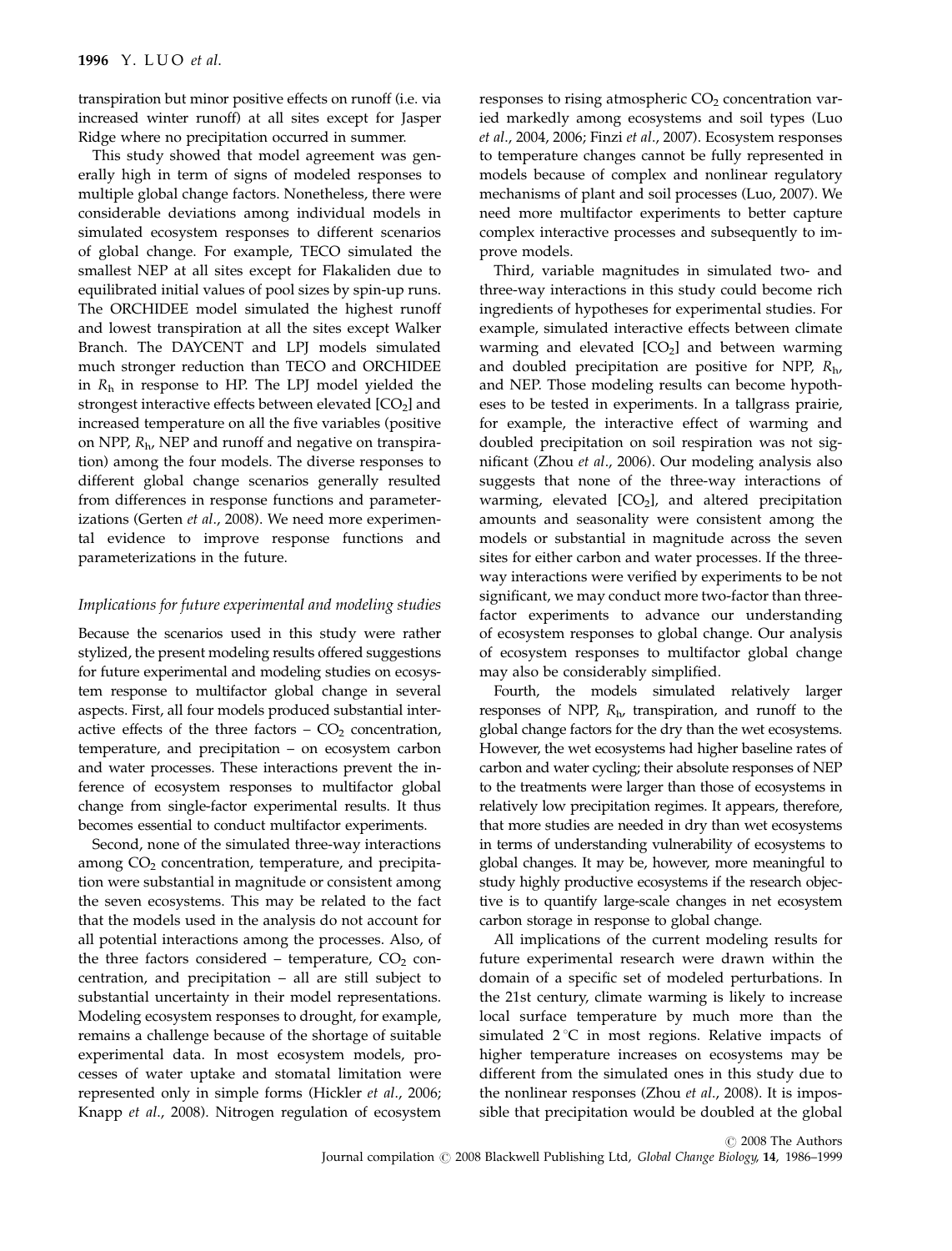transpiration but minor positive effects on runoff (i.e. via increased winter runoff) at all sites except for Jasper Ridge where no precipitation occurred in summer.

This study showed that model agreement was generally high in term of signs of modeled responses to multiple global change factors. Nonetheless, there were considerable deviations among individual models in simulated ecosystem responses to different scenarios of global change. For example, TECO simulated the smallest NEP at all sites except for Flakaliden due to equilibrated initial values of pool sizes by spin-up runs. The ORCHIDEE model simulated the highest runoff and lowest transpiration at all the sites except Walker Branch. The DAYCENT and LPJ models simulated much stronger reduction than TECO and ORCHIDEE in  $R_h$  in response to HP. The LPJ model yielded the strongest interactive effects between elevated  $[CO<sub>2</sub>]$  and increased temperature on all the five variables (positive on NPP,  $R_{\rm h}$ , NEP and runoff and negative on transpiration) among the four models. The diverse responses to different global change scenarios generally resulted from differences in response functions and parameterizations (Gerten et al., 2008). We need more experimental evidence to improve response functions and parameterizations in the future.

## Implications for future experimental and modeling studies

Because the scenarios used in this study were rather stylized, the present modeling results offered suggestions for future experimental and modeling studies on ecosystem response to multifactor global change in several aspects. First, all four models produced substantial interactive effects of the three factors  $-$  CO<sub>2</sub> concentration, temperature, and precipitation – on ecosystem carbon and water processes. These interactions prevent the inference of ecosystem responses to multifactor global change from single-factor experimental results. It thus becomes essential to conduct multifactor experiments.

Second, none of the simulated three-way interactions among  $CO<sub>2</sub>$  concentration, temperature, and precipitation were substantial in magnitude or consistent among the seven ecosystems. This may be related to the fact that the models used in the analysis do not account for all potential interactions among the processes. Also, of the three factors considered – temperature,  $CO<sub>2</sub>$  concentration, and precipitation – all are still subject to substantial uncertainty in their model representations. Modeling ecosystem responses to drought, for example, remains a challenge because of the shortage of suitable experimental data. In most ecosystem models, processes of water uptake and stomatal limitation were represented only in simple forms (Hickler et al., 2006; Knapp et al., 2008). Nitrogen regulation of ecosystem

responses to rising atmospheric  $CO<sub>2</sub>$  concentration varied markedly among ecosystems and soil types (Luo et al., 2004, 2006; Finzi et al., 2007). Ecosystem responses to temperature changes cannot be fully represented in models because of complex and nonlinear regulatory mechanisms of plant and soil processes (Luo, 2007). We need more multifactor experiments to better capture complex interactive processes and subsequently to improve models.

Third, variable magnitudes in simulated two- and three-way interactions in this study could become rich ingredients of hypotheses for experimental studies. For example, simulated interactive effects between climate warming and elevated  $[CO<sub>2</sub>]$  and between warming and doubled precipitation are positive for NPP,  $R_{\rm h}$ , and NEP. Those modeling results can become hypotheses to be tested in experiments. In a tallgrass prairie, for example, the interactive effect of warming and doubled precipitation on soil respiration was not significant (Zhou et al., 2006). Our modeling analysis also suggests that none of the three-way interactions of warming, elevated  $[CO<sub>2</sub>]$ , and altered precipitation amounts and seasonality were consistent among the models or substantial in magnitude across the seven sites for either carbon and water processes. If the threeway interactions were verified by experiments to be not significant, we may conduct more two-factor than threefactor experiments to advance our understanding of ecosystem responses to global change. Our analysis of ecosystem responses to multifactor global change may also be considerably simplified.

Fourth, the models simulated relatively larger responses of NPP,  $R<sub>h</sub>$ , transpiration, and runoff to the global change factors for the dry than the wet ecosystems. However, the wet ecosystems had higher baseline rates of carbon and water cycling; their absolute responses of NEP to the treatments were larger than those of ecosystems in relatively low precipitation regimes. It appears, therefore, that more studies are needed in dry than wet ecosystems in terms of understanding vulnerability of ecosystems to global changes. It may be, however, more meaningful to study highly productive ecosystems if the research objective is to quantify large-scale changes in net ecosystem carbon storage in response to global change.

All implications of the current modeling results for future experimental research were drawn within the domain of a specific set of modeled perturbations. In the 21st century, climate warming is likely to increase local surface temperature by much more than the simulated  $2^{\circ}C$  in most regions. Relative impacts of higher temperature increases on ecosystems may be different from the simulated ones in this study due to the nonlinear responses (Zhou et al., 2008). It is impossible that precipitation would be doubled at the global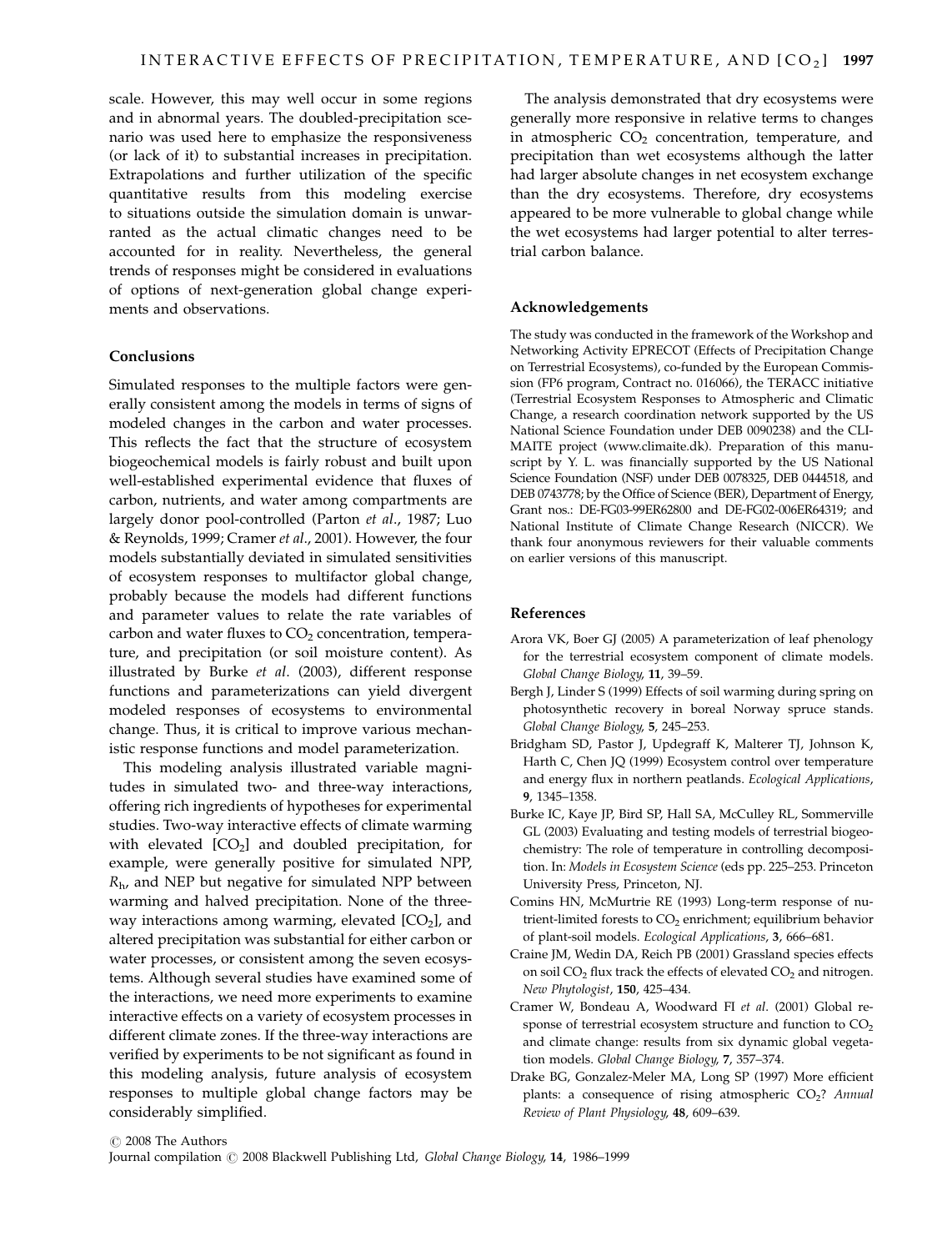scale. However, this may well occur in some regions and in abnormal years. The doubled-precipitation scenario was used here to emphasize the responsiveness (or lack of it) to substantial increases in precipitation. Extrapolations and further utilization of the specific quantitative results from this modeling exercise to situations outside the simulation domain is unwarranted as the actual climatic changes need to be accounted for in reality. Nevertheless, the general trends of responses might be considered in evaluations of options of next-generation global change experiments and observations.

#### Conclusions

Simulated responses to the multiple factors were generally consistent among the models in terms of signs of modeled changes in the carbon and water processes. This reflects the fact that the structure of ecosystem biogeochemical models is fairly robust and built upon well-established experimental evidence that fluxes of carbon, nutrients, and water among compartments are largely donor pool-controlled (Parton et al., 1987; Luo & Reynolds, 1999; Cramer et al., 2001). However, the four models substantially deviated in simulated sensitivities of ecosystem responses to multifactor global change, probably because the models had different functions and parameter values to relate the rate variables of carbon and water fluxes to  $CO<sub>2</sub>$  concentration, temperature, and precipitation (or soil moisture content). As illustrated by Burke et al. (2003), different response functions and parameterizations can yield divergent modeled responses of ecosystems to environmental change. Thus, it is critical to improve various mechanistic response functions and model parameterization.

This modeling analysis illustrated variable magnitudes in simulated two- and three-way interactions, offering rich ingredients of hypotheses for experimental studies. Two-way interactive effects of climate warming with elevated  $[CO<sub>2</sub>]$  and doubled precipitation, for example, were generally positive for simulated NPP,  $R<sub>h</sub>$ , and NEP but negative for simulated NPP between warming and halved precipitation. None of the threeway interactions among warming, elevated  $[CO<sub>2</sub>]$ , and altered precipitation was substantial for either carbon or water processes, or consistent among the seven ecosystems. Although several studies have examined some of the interactions, we need more experiments to examine interactive effects on a variety of ecosystem processes in different climate zones. If the three-way interactions are verified by experiments to be not significant as found in this modeling analysis, future analysis of ecosystem responses to multiple global change factors may be considerably simplified.

The analysis demonstrated that dry ecosystems were generally more responsive in relative terms to changes in atmospheric  $CO<sub>2</sub>$  concentration, temperature, and precipitation than wet ecosystems although the latter had larger absolute changes in net ecosystem exchange than the dry ecosystems. Therefore, dry ecosystems appeared to be more vulnerable to global change while the wet ecosystems had larger potential to alter terrestrial carbon balance.

#### Acknowledgements

The study was conducted in the framework of the Workshop and Networking Activity EPRECOT (Effects of Precipitation Change on Terrestrial Ecosystems), co-funded by the European Commission (FP6 program, Contract no. 016066), the TERACC initiative (Terrestrial Ecosystem Responses to Atmospheric and Climatic Change, a research coordination network supported by the US National Science Foundation under DEB 0090238) and the CLI-MAITE project (www.climaite.dk). Preparation of this manuscript by Y. L. was financially supported by the US National Science Foundation (NSF) under DEB 0078325, DEB 0444518, and DEB 0743778; by the Office of Science (BER), Department of Energy, Grant nos.: DE-FG03-99ER62800 and DE-FG02-006ER64319; and National Institute of Climate Change Research (NICCR). We thank four anonymous reviewers for their valuable comments on earlier versions of this manuscript.

#### References

- Arora VK, Boer GJ (2005) A parameterization of leaf phenology for the terrestrial ecosystem component of climate models. Global Change Biology, 11, 39–59.
- Bergh J, Linder S (1999) Effects of soil warming during spring on photosynthetic recovery in boreal Norway spruce stands. Global Change Biology, 5, 245–253.
- Bridgham SD, Pastor J, Updegraff K, Malterer TJ, Johnson K, Harth C, Chen JQ (1999) Ecosystem control over temperature and energy flux in northern peatlands. Ecological Applications, 9, 1345–1358.
- Burke IC, Kaye JP, Bird SP, Hall SA, McCulley RL, Sommerville GL (2003) Evaluating and testing models of terrestrial biogeochemistry: The role of temperature in controlling decomposition. In: Models in Ecosystem Science (eds pp. 225–253. Princeton University Press, Princeton, NJ.
- Comins HN, McMurtrie RE (1993) Long-term response of nutrient-limited forests to  $CO<sub>2</sub>$  enrichment; equilibrium behavior of plant-soil models. Ecological Applications, 3, 666–681.
- Craine JM, Wedin DA, Reich PB (2001) Grassland species effects on soil  $CO<sub>2</sub>$  flux track the effects of elevated  $CO<sub>2</sub>$  and nitrogen. New Phytologist, 150, 425–434.
- Cramer W, Bondeau A, Woodward FI et al. (2001) Global response of terrestrial ecosystem structure and function to  $CO<sub>2</sub>$ and climate change: results from six dynamic global vegetation models. Global Change Biology, 7, 357–374.
- Drake BG, Gonzalez-Meler MA, Long SP (1997) More efficient plants: a consequence of rising atmospheric CO<sub>2</sub>? Annual Review of Plant Physiology, 48, 609–639.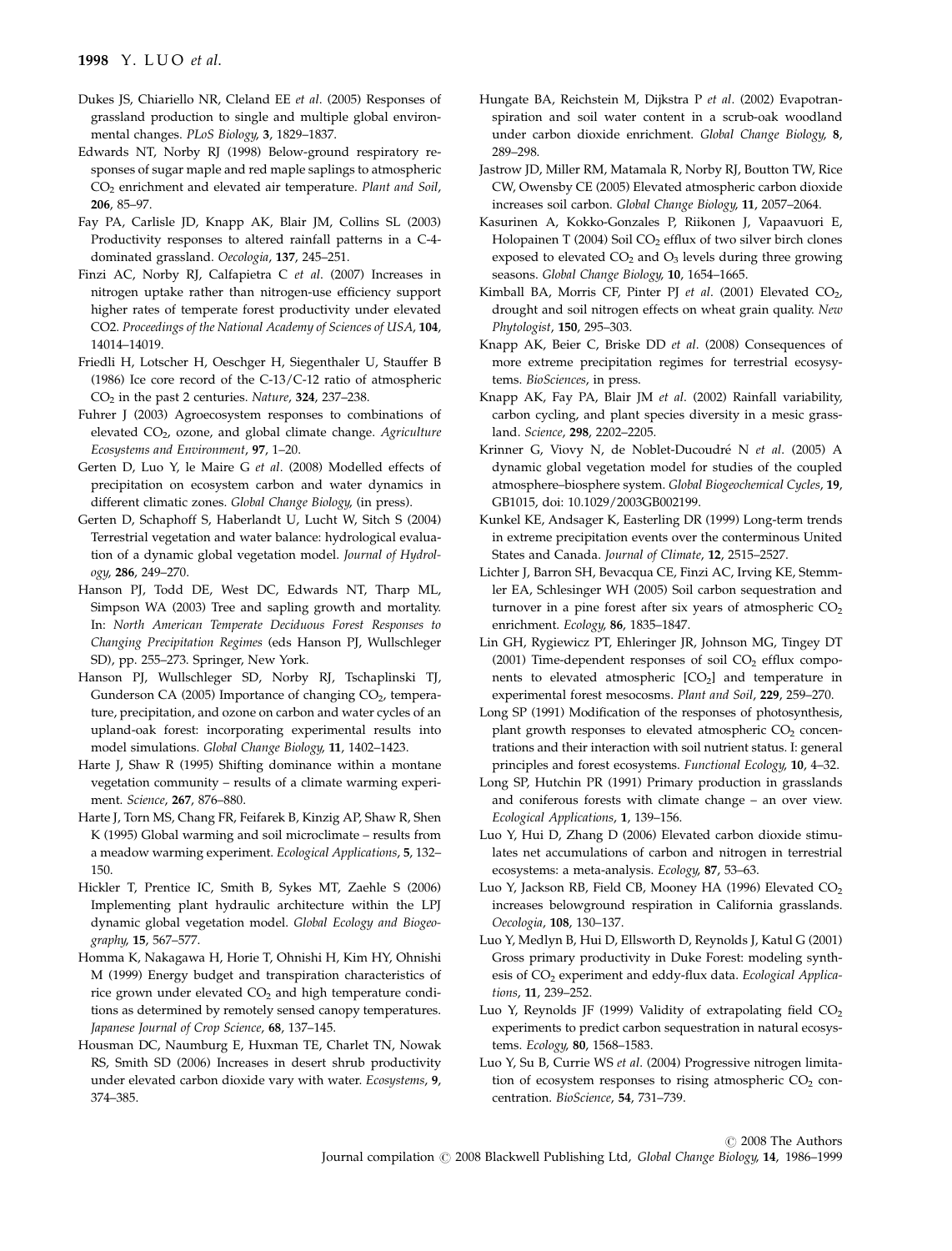- Dukes JS, Chiariello NR, Cleland EE et al. (2005) Responses of grassland production to single and multiple global environmental changes. PLoS Biology, 3, 1829–1837.
- Edwards NT, Norby RJ (1998) Below-ground respiratory responses of sugar maple and red maple saplings to atmospheric CO2 enrichment and elevated air temperature. Plant and Soil, 206, 85–97.
- Fay PA, Carlisle JD, Knapp AK, Blair JM, Collins SL (2003) Productivity responses to altered rainfall patterns in a C-4 dominated grassland. Oecologia, 137, 245–251.
- Finzi AC, Norby RJ, Calfapietra C et al. (2007) Increases in nitrogen uptake rather than nitrogen-use efficiency support higher rates of temperate forest productivity under elevated CO2. Proceedings of the National Academy of Sciences of USA, 104, 14014–14019.
- Friedli H, Lotscher H, Oeschger H, Siegenthaler U, Stauffer B (1986) Ice core record of the C-13/C-12 ratio of atmospheric CO2 in the past 2 centuries. Nature, 324, 237–238.
- Fuhrer J (2003) Agroecosystem responses to combinations of elevated CO<sub>2</sub>, ozone, and global climate change. Agriculture Ecosystems and Environment, 97, 1–20.
- Gerten D, Luo Y, le Maire G et al. (2008) Modelled effects of precipitation on ecosystem carbon and water dynamics in different climatic zones. Global Change Biology, (in press).
- Gerten D, Schaphoff S, Haberlandt U, Lucht W, Sitch S (2004) Terrestrial vegetation and water balance: hydrological evaluation of a dynamic global vegetation model. Journal of Hydrology, 286, 249–270.
- Hanson PJ, Todd DE, West DC, Edwards NT, Tharp ML, Simpson WA (2003) Tree and sapling growth and mortality. In: North American Temperate Deciduous Forest Responses to Changing Precipitation Regimes (eds Hanson PJ, Wullschleger SD), pp. 255–273. Springer, New York.
- Hanson PJ, Wullschleger SD, Norby RJ, Tschaplinski TJ, Gunderson CA (2005) Importance of changing CO<sub>2</sub>, temperature, precipitation, and ozone on carbon and water cycles of an upland-oak forest: incorporating experimental results into model simulations. Global Change Biology, 11, 1402–1423.
- Harte J, Shaw R (1995) Shifting dominance within a montane vegetation community – results of a climate warming experiment. Science, 267, 876–880.
- Harte J, Torn MS, Chang FR, Feifarek B, Kinzig AP, Shaw R, Shen K (1995) Global warming and soil microclimate – results from a meadow warming experiment. Ecological Applications, 5, 132– 150.
- Hickler T, Prentice IC, Smith B, Sykes MT, Zaehle S (2006) Implementing plant hydraulic architecture within the LPJ dynamic global vegetation model. Global Ecology and Biogeography, 15, 567–577.
- Homma K, Nakagawa H, Horie T, Ohnishi H, Kim HY, Ohnishi M (1999) Energy budget and transpiration characteristics of rice grown under elevated  $CO<sub>2</sub>$  and high temperature conditions as determined by remotely sensed canopy temperatures. Japanese Journal of Crop Science, 68, 137–145.
- Housman DC, Naumburg E, Huxman TE, Charlet TN, Nowak RS, Smith SD (2006) Increases in desert shrub productivity under elevated carbon dioxide vary with water. Ecosystems, 9, 374–385.
- Hungate BA, Reichstein M, Dijkstra P et al. (2002) Evapotranspiration and soil water content in a scrub-oak woodland under carbon dioxide enrichment. Global Change Biology, 8, 289–298.
- Jastrow JD, Miller RM, Matamala R, Norby RJ, Boutton TW, Rice CW, Owensby CE (2005) Elevated atmospheric carbon dioxide increases soil carbon. Global Change Biology, 11, 2057–2064.
- Kasurinen A, Kokko-Gonzales P, Riikonen J, Vapaavuori E, Holopainen T (2004) Soil CO<sub>2</sub> efflux of two silver birch clones exposed to elevated  $CO<sub>2</sub>$  and  $O<sub>3</sub>$  levels during three growing seasons. Global Change Biology, 10, 1654-1665.
- Kimball BA, Morris CF, Pinter PJ et al. (2001) Elevated  $CO<sub>2</sub>$ , drought and soil nitrogen effects on wheat grain quality. New Phytologist, 150, 295–303.
- Knapp AK, Beier C, Briske DD et al. (2008) Consequences of more extreme precipitation regimes for terrestrial ecosysytems. BioSciences, in press.
- Knapp AK, Fay PA, Blair JM et al. (2002) Rainfall variability, carbon cycling, and plant species diversity in a mesic grassland. Science, 298, 2202–2205.
- Krinner G, Viovy N, de Noblet-Ducoudré N et al. (2005) A dynamic global vegetation model for studies of the coupled atmosphere–biosphere system. Global Biogeochemical Cycles, 19, GB1015, doi: 10.1029/2003GB002199.
- Kunkel KE, Andsager K, Easterling DR (1999) Long-term trends in extreme precipitation events over the conterminous United States and Canada. Journal of Climate, 12, 2515–2527.
- Lichter J, Barron SH, Bevacqua CE, Finzi AC, Irving KE, Stemmler EA, Schlesinger WH (2005) Soil carbon sequestration and turnover in a pine forest after six years of atmospheric  $CO<sub>2</sub>$ enrichment. Ecology, 86, 1835–1847.
- Lin GH, Rygiewicz PT, Ehleringer JR, Johnson MG, Tingey DT (2001) Time-dependent responses of soil  $CO<sub>2</sub>$  efflux components to elevated atmospheric  $[CO<sub>2</sub>]$  and temperature in experimental forest mesocosms. Plant and Soil, 229, 259–270.
- Long SP (1991) Modification of the responses of photosynthesis, plant growth responses to elevated atmospheric  $CO<sub>2</sub>$  concentrations and their interaction with soil nutrient status. I: general principles and forest ecosystems. Functional Ecology, 10, 4–32.
- Long SP, Hutchin PR (1991) Primary production in grasslands and coniferous forests with climate change – an over view. Ecological Applications, 1, 139–156.
- Luo Y, Hui D, Zhang D (2006) Elevated carbon dioxide stimulates net accumulations of carbon and nitrogen in terrestrial ecosystems: a meta-analysis. Ecology, 87, 53–63.
- Luo Y, Jackson RB, Field CB, Mooney HA (1996) Elevated CO<sub>2</sub> increases belowground respiration in California grasslands. Oecologia, 108, 130–137.
- Luo Y, Medlyn B, Hui D, Ellsworth D, Reynolds J, Katul G (2001) Gross primary productivity in Duke Forest: modeling synthesis of CO<sub>2</sub> experiment and eddy-flux data. Ecological Applications, 11, 239–252.
- Luo Y, Reynolds JF (1999) Validity of extrapolating field  $CO<sub>2</sub>$ experiments to predict carbon sequestration in natural ecosystems. Ecology, 80, 1568–1583.
- Luo Y, Su B, Currie WS et al. (2004) Progressive nitrogen limitation of ecosystem responses to rising atmospheric  $CO<sub>2</sub>$  concentration. BioScience, 54, 731–739.